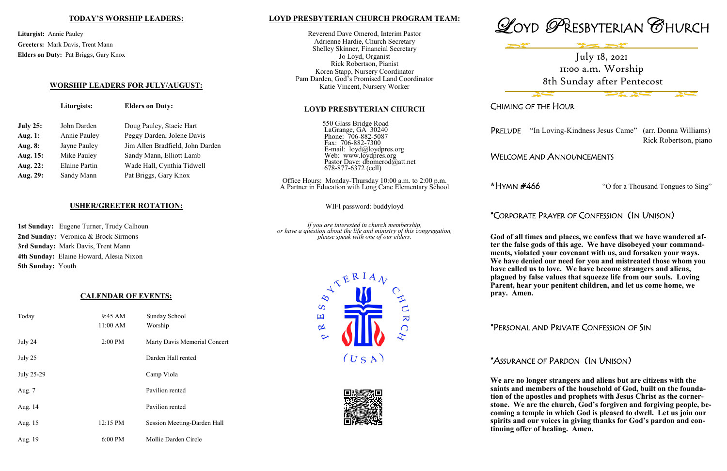## **LOYD PRESBYTERIAN CHURCH PROGRAM TEAM:**

Reverend Dave Omerod, Interim Pastor Adrienne Hardie, Church Secretary Shelley Skinner, Financial Secretary Jo Loyd, Organist Rick Robertson, Pianist Koren Stapp, Nursery Coordinator Pam Darden, God's Promised Land Coordinator Katie Vincent, Nursery Worker

#### **LOYD PRESBYTERIAN CHURCH**

550 Glass Bridge Road LaGrange, GA 30240 Phone: 706-882-5087 Fax: 706-882-7300 E-mail: loyd@loydpres.org Web: www.loydpres.org Pastor Dave: dbomerod@att.net 678-877-6372 (cell)

Office Hours: Monday-Thursday 10:00 a.m. to 2:00 p.m. A Partner in Education with Long Cane Elementary School

WIFI password: buddyloyd

*If you are interested in church membership, or have a question about the life and ministry of this congregation, please speak with one of our elders.*









# CHIMING OF THE HOUR

PRELUDE "In Loving-Kindness Jesus Came" (arr. Donna Williams)

Rick Robertson, piano

## WELCOME AND ANNOUNCEMENTS

**\***HYMN #466 "O for a Thousand Tongues to Sing"

# \*CORPORATE PRAYER OF CONFESSION (IN UNISON)

**God of all times and places, we confess that we have wandered after the false gods of this age. We have disobeyed your commandments, violated your covenant with us, and forsaken your ways. We have denied our need for you and mistreated those whom you have called us to love. We have become strangers and aliens, plagued by false values that squeeze life from our souls. Loving Parent, hear your penitent children, and let us come home, we** 

**pray. Amen.**

## \*PERSONAL AND PRIVATE CONFESSION OF SIN

## \*ASSURANCE OF PARDON (IN UNISON)

**We are no longer strangers and aliens but are citizens with the saints and members of the household of God, built on the foundation of the apostles and prophets with Jesus Christ as the cornerstone. We are the church, God's forgiven and forgiving people, becoming a temple in which God is pleased to dwell. Let us join our spirits and our voices in giving thanks for God's pardon and continuing offer of healing. Amen.** 

## **TODAY'S WORSHIP LEADERS:**

**Liturgist:** Annie Pauley **Greeters:** Mark Davis, Trent Mann **Elders on Duty:** Pat Briggs, Gary Knox

## **WORSHIP LEADERS FOR JULY/AUGUST:**

**Liturgists: Elders on Duty:**

| <b>July 25:</b> | John Darden   | Doug Pauley, Stacie Hart         |
|-----------------|---------------|----------------------------------|
| Aug. 1:         | Annie Pauley  | Peggy Darden, Jolene Davis       |
| Aug. 8:         | Jayne Pauley  | Jim Allen Bradfield, John Darden |
| Aug. 15:        | Mike Pauley   | Sandy Mann, Elliott Lamb         |
| Aug. 22:        | Elaine Partin | Wade Hall, Cynthia Tidwell       |
| Aug. 29:        | Sandy Mann    | Pat Briggs, Gary Knox            |
|                 |               |                                  |

## **USHER/GREETER ROTATION:**

**1st Sunday:** Eugene Turner, Trudy Calhoun **2nd Sunday:** Veronica & Brock Sirmons **3rd Sunday:** Mark Davis, Trent Mann **4th Sunday:** Elaine Howard, Alesia Nixon **5th Sunday:** Youth

## **CALENDAR OF EVENTS:**

| Today      | 9:45 AM<br>11:00 AM | Sunday School<br>Worship     |  |
|------------|---------------------|------------------------------|--|
| July 24    | 2:00 PM             | Marty Davis Memorial Concert |  |
| July 25    |                     | Darden Hall rented           |  |
| July 25-29 |                     | Camp Viola                   |  |
| Aug. 7     |                     | Pavilion rented              |  |
| Aug. 14    |                     | Pavilion rented              |  |
| Aug. 15    | 12:15 PM            | Session Meeting-Darden Hall  |  |
| Aug. 19    | $6:00$ PM           | Mollie Darden Circle         |  |

July 18, 2021 11:00 a.m. Worship 8th Sunday after Pentecost